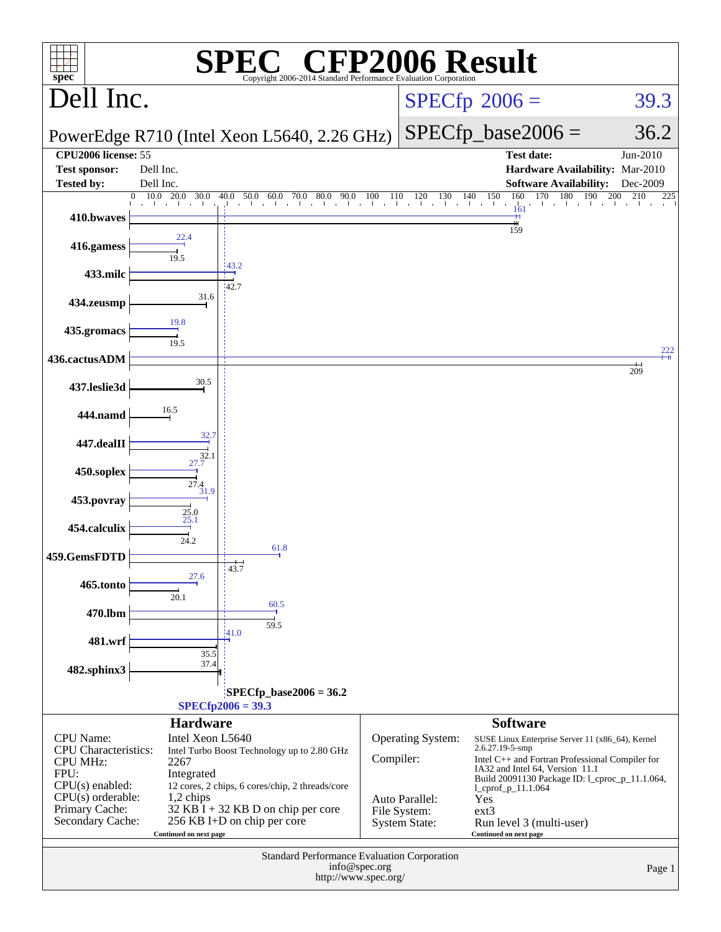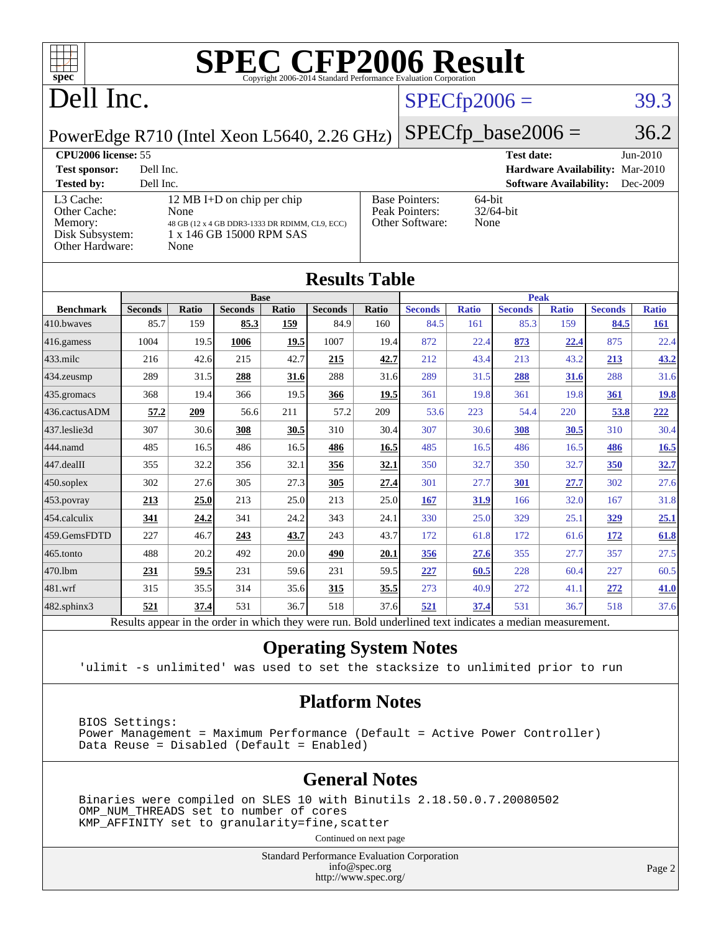

### Dell Inc.

#### $SPECTp2006 = 39.3$

PowerEdge R710 (Intel Xeon L5640, 2.26 GHz)

 $SPECTp\_base2006 = 36.2$ 

#### **[CPU2006 license:](http://www.spec.org/auto/cpu2006/Docs/result-fields.html#CPU2006license)** 55 **[Test date:](http://www.spec.org/auto/cpu2006/Docs/result-fields.html#Testdate)** Jun-2010 **[Test sponsor:](http://www.spec.org/auto/cpu2006/Docs/result-fields.html#Testsponsor)** Dell Inc. **[Hardware Availability:](http://www.spec.org/auto/cpu2006/Docs/result-fields.html#HardwareAvailability)** Mar-2010 **[Tested by:](http://www.spec.org/auto/cpu2006/Docs/result-fields.html#Testedby)** Dell Inc. **[Software Availability:](http://www.spec.org/auto/cpu2006/Docs/result-fields.html#SoftwareAvailability)** Dec-2009 [L3 Cache:](http://www.spec.org/auto/cpu2006/Docs/result-fields.html#L3Cache) 12 MB I+D on chip per chip<br>Other Cache: None [Other Cache:](http://www.spec.org/auto/cpu2006/Docs/result-fields.html#OtherCache) **[Memory:](http://www.spec.org/auto/cpu2006/Docs/result-fields.html#Memory)** 48 GB (12 x 4 GB DDR3-1333 DR RDIMM, CL9, ECC) [Disk Subsystem:](http://www.spec.org/auto/cpu2006/Docs/result-fields.html#DiskSubsystem) 1 x 146 GB 15000 RPM SAS [Other Hardware:](http://www.spec.org/auto/cpu2006/Docs/result-fields.html#OtherHardware) None [Base Pointers:](http://www.spec.org/auto/cpu2006/Docs/result-fields.html#BasePointers) 64-bit<br>Peak Pointers: 32/64-bit [Peak Pointers:](http://www.spec.org/auto/cpu2006/Docs/result-fields.html#PeakPointers) [Other Software:](http://www.spec.org/auto/cpu2006/Docs/result-fields.html#OtherSoftware) None

| <b>Results Table</b> |                                                                                                          |              |                |       |                |             |                |              |                |              |                |              |
|----------------------|----------------------------------------------------------------------------------------------------------|--------------|----------------|-------|----------------|-------------|----------------|--------------|----------------|--------------|----------------|--------------|
|                      | <b>Base</b>                                                                                              |              |                |       |                | <b>Peak</b> |                |              |                |              |                |              |
| <b>Benchmark</b>     | <b>Seconds</b>                                                                                           | <b>Ratio</b> | <b>Seconds</b> | Ratio | <b>Seconds</b> | Ratio       | <b>Seconds</b> | <b>Ratio</b> | <b>Seconds</b> | <b>Ratio</b> | <b>Seconds</b> | <b>Ratio</b> |
| 410.bwayes           | 85.7                                                                                                     | 159          | 85.3           | 159   | 84.9           | 160         | 84.5           | 161          | 85.3           | 159          | 84.5           | 161          |
| 416.gamess           | 1004                                                                                                     | 19.5         | 1006           | 19.5  | 1007           | 19.4        | 872            | 22.4         | 873            | 22.4         | 875            | 22.4         |
| $433$ .milc          | 216                                                                                                      | 42.6         | 215            | 42.7  | 215            | 42.7        | 212            | 43.4         | 213            | 43.2         | 213            | 43.2         |
| $434$ . zeusmp       | 289                                                                                                      | 31.5         | 288            | 31.6  | 288            | 31.6        | 289            | 31.5         | 288            | 31.6         | 288            | 31.6         |
| 435.gromacs          | 368                                                                                                      | 19.4         | 366            | 19.5  | 366            | 19.5        | 361            | 19.8         | 361            | 19.8         | 361            | <u>19.8</u>  |
| 436.cactusADM        | 57.2                                                                                                     | 209          | 56.6           | 211   | 57.2           | 209         | 53.6           | 223          | 54.4           | 220          | 53.8           | 222          |
| 437.leslie3d         | 307                                                                                                      | 30.6         | 308            | 30.5  | 310            | 30.4        | 307            | 30.6         | 308            | 30.5         | 310            | 30.4         |
| 444.namd             | 485                                                                                                      | 16.5         | 486            | 16.5  | 486            | 16.5        | 485            | 16.5         | 486            | 16.5         | 486            | 16.5         |
| $447$ .dealII        | 355                                                                                                      | 32.2         | 356            | 32.1  | 356            | 32.1        | 350            | 32.7         | 350            | 32.7         | 350            | 32.7         |
| $450$ .soplex        | 302                                                                                                      | 27.6         | 305            | 27.3  | 305            | 27.4        | 301            | 27.7         | 301            | 27.7         | 302            | 27.6         |
| $453$ .povray        | 213                                                                                                      | 25.0         | 213            | 25.0  | 213            | 25.0        | 167            | 31.9         | 166            | 32.0         | 167            | 31.8         |
| 454.calculix         | 341                                                                                                      | 24.2         | 341            | 24.2  | 343            | 24.1        | 330            | 25.0         | 329            | 25.1         | 329            | 25.1         |
| 459.GemsFDTD         | 227                                                                                                      | 46.7         | 243            | 43.7  | 243            | 43.7        | 172            | 61.8         | 172            | 61.6         | 172            | 61.8         |
| $465$ .tonto         | 488                                                                                                      | 20.2         | 492            | 20.0  | 490            | 20.1        | 356            | 27.6         | 355            | 27.7         | 357            | 27.5         |
| 470.1bm              | 231                                                                                                      | 59.5         | 231            | 59.6  | 231            | 59.5        | 227            | 60.5         | 228            | 60.4         | 227            | 60.5         |
| 481.wrf              | 315                                                                                                      | 35.5         | 314            | 35.6  | 315            | 35.5        | 273            | 40.9         | 272            | 41.1         | 272            | 41.0         |
| $482$ .sphinx $3$    | 521                                                                                                      | 37.4         | 531            | 36.7  | 518            | 37.6        | 521            | 37.4         | 531            | 36.7         | 518            | 37.6         |
|                      | Results appear in the order in which they were run. Bold underlined text indicates a median measurement. |              |                |       |                |             |                |              |                |              |                |              |

#### **[Operating System Notes](http://www.spec.org/auto/cpu2006/Docs/result-fields.html#OperatingSystemNotes)**

'ulimit -s unlimited' was used to set the stacksize to unlimited prior to run

#### **[Platform Notes](http://www.spec.org/auto/cpu2006/Docs/result-fields.html#PlatformNotes)**

 BIOS Settings: Power Management = Maximum Performance (Default = Active Power Controller) Data Reuse = Disabled (Default = Enabled)

#### **[General Notes](http://www.spec.org/auto/cpu2006/Docs/result-fields.html#GeneralNotes)**

 Binaries were compiled on SLES 10 with Binutils 2.18.50.0.7.20080502 OMP\_NUM\_THREADS set to number of cores KMP\_AFFINITY set to granularity=fine,scatter

Continued on next page

Standard Performance Evaluation Corporation [info@spec.org](mailto:info@spec.org) <http://www.spec.org/>

Page 2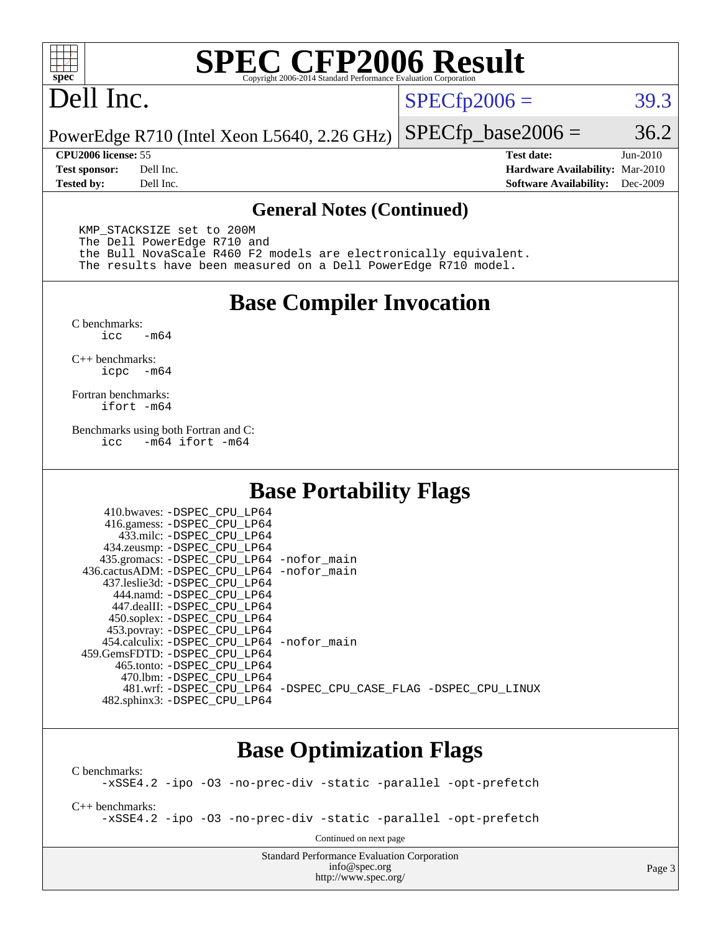

### Dell Inc.

 $SPECTp2006 = 39.3$ 

PowerEdge R710 (Intel Xeon L5640, 2.26 GHz)  $SPECTp\_base2006 = 36.2$ 

**[CPU2006 license:](http://www.spec.org/auto/cpu2006/Docs/result-fields.html#CPU2006license)** 55 **[Test date:](http://www.spec.org/auto/cpu2006/Docs/result-fields.html#Testdate)** Jun-2010 **[Test sponsor:](http://www.spec.org/auto/cpu2006/Docs/result-fields.html#Testsponsor)** Dell Inc. **[Hardware Availability:](http://www.spec.org/auto/cpu2006/Docs/result-fields.html#HardwareAvailability)** Mar-2010 **[Tested by:](http://www.spec.org/auto/cpu2006/Docs/result-fields.html#Testedby)** Dell Inc. **[Software Availability:](http://www.spec.org/auto/cpu2006/Docs/result-fields.html#SoftwareAvailability)** Dec-2009

#### **[General Notes \(Continued\)](http://www.spec.org/auto/cpu2006/Docs/result-fields.html#GeneralNotes)**

 KMP\_STACKSIZE set to 200M The Dell PowerEdge R710 and the Bull NovaScale R460 F2 models are electronically equivalent. The results have been measured on a Dell PowerEdge R710 model.

#### **[Base Compiler Invocation](http://www.spec.org/auto/cpu2006/Docs/result-fields.html#BaseCompilerInvocation)**

 $C$  benchmarks:<br>icc  $-m64$ 

[C++ benchmarks:](http://www.spec.org/auto/cpu2006/Docs/result-fields.html#CXXbenchmarks) [icpc -m64](http://www.spec.org/cpu2006/results/res2010q3/cpu2006-20100702-12137.flags.html#user_CXXbase_intel_icpc_64bit_bedb90c1146cab66620883ef4f41a67e)

[Fortran benchmarks](http://www.spec.org/auto/cpu2006/Docs/result-fields.html#Fortranbenchmarks): [ifort -m64](http://www.spec.org/cpu2006/results/res2010q3/cpu2006-20100702-12137.flags.html#user_FCbase_intel_ifort_64bit_ee9d0fb25645d0210d97eb0527dcc06e)

[Benchmarks using both Fortran and C](http://www.spec.org/auto/cpu2006/Docs/result-fields.html#BenchmarksusingbothFortranandC): [icc -m64](http://www.spec.org/cpu2006/results/res2010q3/cpu2006-20100702-12137.flags.html#user_CC_FCbase_intel_icc_64bit_0b7121f5ab7cfabee23d88897260401c) [ifort -m64](http://www.spec.org/cpu2006/results/res2010q3/cpu2006-20100702-12137.flags.html#user_CC_FCbase_intel_ifort_64bit_ee9d0fb25645d0210d97eb0527dcc06e)

#### **[Base Portability Flags](http://www.spec.org/auto/cpu2006/Docs/result-fields.html#BasePortabilityFlags)**

| 435.gromacs: -DSPEC_CPU_LP64 -nofor_main                       |
|----------------------------------------------------------------|
| 436.cactusADM: - DSPEC CPU LP64 - nofor main                   |
|                                                                |
|                                                                |
|                                                                |
|                                                                |
|                                                                |
| 454.calculix: -DSPEC CPU LP64 -nofor main                      |
|                                                                |
|                                                                |
|                                                                |
| 481.wrf: -DSPEC CPU_LP64 -DSPEC_CPU_CASE_FLAG -DSPEC_CPU_LINUX |
|                                                                |
|                                                                |

#### **[Base Optimization Flags](http://www.spec.org/auto/cpu2006/Docs/result-fields.html#BaseOptimizationFlags)**

[C benchmarks](http://www.spec.org/auto/cpu2006/Docs/result-fields.html#Cbenchmarks): [-xSSE4.2](http://www.spec.org/cpu2006/results/res2010q3/cpu2006-20100702-12137.flags.html#user_CCbase_f-xSSE42_f91528193cf0b216347adb8b939d4107) [-ipo](http://www.spec.org/cpu2006/results/res2010q3/cpu2006-20100702-12137.flags.html#user_CCbase_f-ipo) [-O3](http://www.spec.org/cpu2006/results/res2010q3/cpu2006-20100702-12137.flags.html#user_CCbase_f-O3) [-no-prec-div](http://www.spec.org/cpu2006/results/res2010q3/cpu2006-20100702-12137.flags.html#user_CCbase_f-no-prec-div) [-static](http://www.spec.org/cpu2006/results/res2010q3/cpu2006-20100702-12137.flags.html#user_CCbase_f-static) [-parallel](http://www.spec.org/cpu2006/results/res2010q3/cpu2006-20100702-12137.flags.html#user_CCbase_f-parallel) [-opt-prefetch](http://www.spec.org/cpu2006/results/res2010q3/cpu2006-20100702-12137.flags.html#user_CCbase_f-opt-prefetch) [C++ benchmarks:](http://www.spec.org/auto/cpu2006/Docs/result-fields.html#CXXbenchmarks) [-xSSE4.2](http://www.spec.org/cpu2006/results/res2010q3/cpu2006-20100702-12137.flags.html#user_CXXbase_f-xSSE42_f91528193cf0b216347adb8b939d4107) [-ipo](http://www.spec.org/cpu2006/results/res2010q3/cpu2006-20100702-12137.flags.html#user_CXXbase_f-ipo) [-O3](http://www.spec.org/cpu2006/results/res2010q3/cpu2006-20100702-12137.flags.html#user_CXXbase_f-O3) [-no-prec-div](http://www.spec.org/cpu2006/results/res2010q3/cpu2006-20100702-12137.flags.html#user_CXXbase_f-no-prec-div) [-static](http://www.spec.org/cpu2006/results/res2010q3/cpu2006-20100702-12137.flags.html#user_CXXbase_f-static) [-parallel](http://www.spec.org/cpu2006/results/res2010q3/cpu2006-20100702-12137.flags.html#user_CXXbase_f-parallel) [-opt-prefetch](http://www.spec.org/cpu2006/results/res2010q3/cpu2006-20100702-12137.flags.html#user_CXXbase_f-opt-prefetch) Continued on next page

> Standard Performance Evaluation Corporation [info@spec.org](mailto:info@spec.org) <http://www.spec.org/>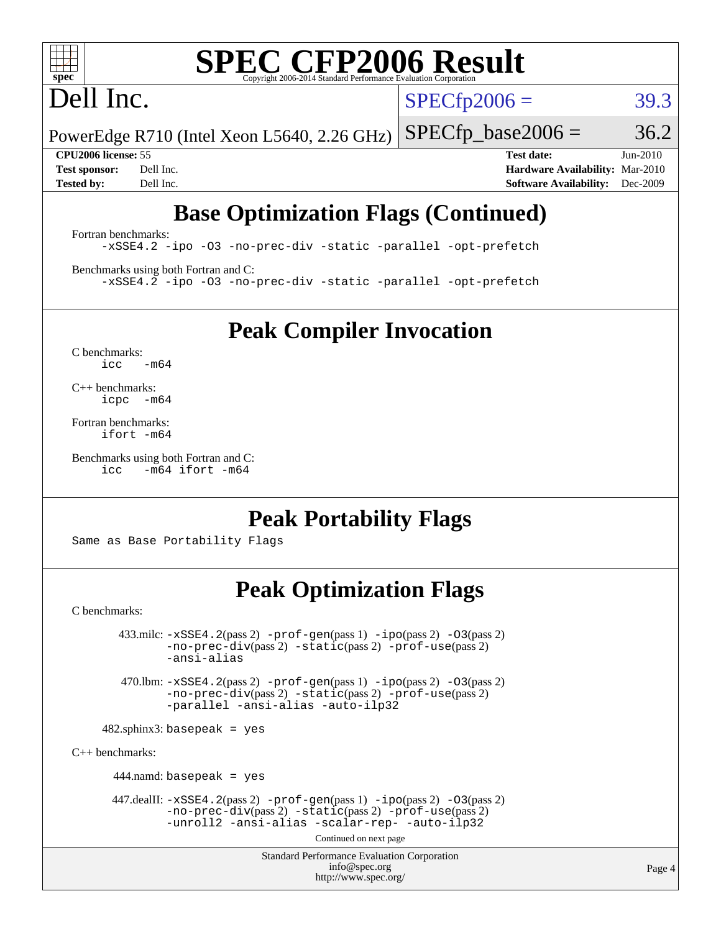

## Dell Inc.

 $SPECTp2006 = 39.3$ 

PowerEdge R710 (Intel Xeon L5640, 2.26 GHz)  $SPECTp\_base2006 = 36.2$ 

**[CPU2006 license:](http://www.spec.org/auto/cpu2006/Docs/result-fields.html#CPU2006license)** 55 **[Test date:](http://www.spec.org/auto/cpu2006/Docs/result-fields.html#Testdate)** Jun-2010 **[Test sponsor:](http://www.spec.org/auto/cpu2006/Docs/result-fields.html#Testsponsor)** Dell Inc. **[Hardware Availability:](http://www.spec.org/auto/cpu2006/Docs/result-fields.html#HardwareAvailability)** Mar-2010 **[Tested by:](http://www.spec.org/auto/cpu2006/Docs/result-fields.html#Testedby)** Dell Inc. **[Software Availability:](http://www.spec.org/auto/cpu2006/Docs/result-fields.html#SoftwareAvailability)** Dec-2009

### **[Base Optimization Flags \(Continued\)](http://www.spec.org/auto/cpu2006/Docs/result-fields.html#BaseOptimizationFlags)**

[Fortran benchmarks](http://www.spec.org/auto/cpu2006/Docs/result-fields.html#Fortranbenchmarks): [-xSSE4.2](http://www.spec.org/cpu2006/results/res2010q3/cpu2006-20100702-12137.flags.html#user_FCbase_f-xSSE42_f91528193cf0b216347adb8b939d4107) [-ipo](http://www.spec.org/cpu2006/results/res2010q3/cpu2006-20100702-12137.flags.html#user_FCbase_f-ipo) [-O3](http://www.spec.org/cpu2006/results/res2010q3/cpu2006-20100702-12137.flags.html#user_FCbase_f-O3) [-no-prec-div](http://www.spec.org/cpu2006/results/res2010q3/cpu2006-20100702-12137.flags.html#user_FCbase_f-no-prec-div) [-static](http://www.spec.org/cpu2006/results/res2010q3/cpu2006-20100702-12137.flags.html#user_FCbase_f-static) [-parallel](http://www.spec.org/cpu2006/results/res2010q3/cpu2006-20100702-12137.flags.html#user_FCbase_f-parallel) [-opt-prefetch](http://www.spec.org/cpu2006/results/res2010q3/cpu2006-20100702-12137.flags.html#user_FCbase_f-opt-prefetch)

[Benchmarks using both Fortran and C](http://www.spec.org/auto/cpu2006/Docs/result-fields.html#BenchmarksusingbothFortranandC): [-xSSE4.2](http://www.spec.org/cpu2006/results/res2010q3/cpu2006-20100702-12137.flags.html#user_CC_FCbase_f-xSSE42_f91528193cf0b216347adb8b939d4107) [-ipo](http://www.spec.org/cpu2006/results/res2010q3/cpu2006-20100702-12137.flags.html#user_CC_FCbase_f-ipo) [-O3](http://www.spec.org/cpu2006/results/res2010q3/cpu2006-20100702-12137.flags.html#user_CC_FCbase_f-O3) [-no-prec-div](http://www.spec.org/cpu2006/results/res2010q3/cpu2006-20100702-12137.flags.html#user_CC_FCbase_f-no-prec-div) [-static](http://www.spec.org/cpu2006/results/res2010q3/cpu2006-20100702-12137.flags.html#user_CC_FCbase_f-static) [-parallel](http://www.spec.org/cpu2006/results/res2010q3/cpu2006-20100702-12137.flags.html#user_CC_FCbase_f-parallel) [-opt-prefetch](http://www.spec.org/cpu2006/results/res2010q3/cpu2006-20100702-12137.flags.html#user_CC_FCbase_f-opt-prefetch)

**[Peak Compiler Invocation](http://www.spec.org/auto/cpu2006/Docs/result-fields.html#PeakCompilerInvocation)**

[C benchmarks](http://www.spec.org/auto/cpu2006/Docs/result-fields.html#Cbenchmarks):  $icc$   $-m64$ 

[C++ benchmarks:](http://www.spec.org/auto/cpu2006/Docs/result-fields.html#CXXbenchmarks) [icpc -m64](http://www.spec.org/cpu2006/results/res2010q3/cpu2006-20100702-12137.flags.html#user_CXXpeak_intel_icpc_64bit_bedb90c1146cab66620883ef4f41a67e)

[Fortran benchmarks](http://www.spec.org/auto/cpu2006/Docs/result-fields.html#Fortranbenchmarks): [ifort -m64](http://www.spec.org/cpu2006/results/res2010q3/cpu2006-20100702-12137.flags.html#user_FCpeak_intel_ifort_64bit_ee9d0fb25645d0210d97eb0527dcc06e)

[Benchmarks using both Fortran and C](http://www.spec.org/auto/cpu2006/Docs/result-fields.html#BenchmarksusingbothFortranandC): [icc -m64](http://www.spec.org/cpu2006/results/res2010q3/cpu2006-20100702-12137.flags.html#user_CC_FCpeak_intel_icc_64bit_0b7121f5ab7cfabee23d88897260401c) [ifort -m64](http://www.spec.org/cpu2006/results/res2010q3/cpu2006-20100702-12137.flags.html#user_CC_FCpeak_intel_ifort_64bit_ee9d0fb25645d0210d97eb0527dcc06e)

#### **[Peak Portability Flags](http://www.spec.org/auto/cpu2006/Docs/result-fields.html#PeakPortabilityFlags)**

Same as Base Portability Flags

#### **[Peak Optimization Flags](http://www.spec.org/auto/cpu2006/Docs/result-fields.html#PeakOptimizationFlags)**

[C benchmarks](http://www.spec.org/auto/cpu2006/Docs/result-fields.html#Cbenchmarks):

 $433 \text{.}$ milc:  $-xSSE4$ .  $2(pass 2)$  - $prof-gen(pass 1)$  - $ipo(pass 2)$  [-O3](http://www.spec.org/cpu2006/results/res2010q3/cpu2006-20100702-12137.flags.html#user_peakPASS2_CFLAGSPASS2_LDFLAGS433_milc_f-O3) $(pass 2)$ [-no-prec-div](http://www.spec.org/cpu2006/results/res2010q3/cpu2006-20100702-12137.flags.html#user_peakPASS2_CFLAGSPASS2_LDFLAGS433_milc_f-no-prec-div)(pass 2) [-static](http://www.spec.org/cpu2006/results/res2010q3/cpu2006-20100702-12137.flags.html#user_peakPASS2_CFLAGSPASS2_LDFLAGS433_milc_f-static)(pass 2) [-prof-use](http://www.spec.org/cpu2006/results/res2010q3/cpu2006-20100702-12137.flags.html#user_peakPASS2_CFLAGSPASS2_LDFLAGS433_milc_prof_use_bccf7792157ff70d64e32fe3e1250b55)(pass 2) [-ansi-alias](http://www.spec.org/cpu2006/results/res2010q3/cpu2006-20100702-12137.flags.html#user_peakOPTIMIZE433_milc_f-ansi-alias) 470.lbm: [-xSSE4.2](http://www.spec.org/cpu2006/results/res2010q3/cpu2006-20100702-12137.flags.html#user_peakPASS2_CFLAGSPASS2_LDFLAGS470_lbm_f-xSSE42_f91528193cf0b216347adb8b939d4107)(pass 2) [-prof-gen](http://www.spec.org/cpu2006/results/res2010q3/cpu2006-20100702-12137.flags.html#user_peakPASS1_CFLAGSPASS1_LDFLAGS470_lbm_prof_gen_e43856698f6ca7b7e442dfd80e94a8fc)(pass 1) [-ipo](http://www.spec.org/cpu2006/results/res2010q3/cpu2006-20100702-12137.flags.html#user_peakPASS2_CFLAGSPASS2_LDFLAGS470_lbm_f-ipo)(pass 2) [-O3](http://www.spec.org/cpu2006/results/res2010q3/cpu2006-20100702-12137.flags.html#user_peakPASS2_CFLAGSPASS2_LDFLAGS470_lbm_f-O3)(pass 2) [-no-prec-div](http://www.spec.org/cpu2006/results/res2010q3/cpu2006-20100702-12137.flags.html#user_peakPASS2_CFLAGSPASS2_LDFLAGS470_lbm_f-no-prec-div)(pass 2) [-static](http://www.spec.org/cpu2006/results/res2010q3/cpu2006-20100702-12137.flags.html#user_peakPASS2_CFLAGSPASS2_LDFLAGS470_lbm_f-static)(pass 2) [-prof-use](http://www.spec.org/cpu2006/results/res2010q3/cpu2006-20100702-12137.flags.html#user_peakPASS2_CFLAGSPASS2_LDFLAGS470_lbm_prof_use_bccf7792157ff70d64e32fe3e1250b55)(pass 2) [-parallel](http://www.spec.org/cpu2006/results/res2010q3/cpu2006-20100702-12137.flags.html#user_peakOPTIMIZE470_lbm_f-parallel) [-ansi-alias](http://www.spec.org/cpu2006/results/res2010q3/cpu2006-20100702-12137.flags.html#user_peakOPTIMIZE470_lbm_f-ansi-alias) [-auto-ilp32](http://www.spec.org/cpu2006/results/res2010q3/cpu2006-20100702-12137.flags.html#user_peakCOPTIMIZE470_lbm_f-auto-ilp32)  $482$ .sphinx3: basepeak = yes [C++ benchmarks:](http://www.spec.org/auto/cpu2006/Docs/result-fields.html#CXXbenchmarks) 444.namd: basepeak = yes 447.dealII: [-xSSE4.2](http://www.spec.org/cpu2006/results/res2010q3/cpu2006-20100702-12137.flags.html#user_peakPASS2_CXXFLAGSPASS2_LDFLAGS447_dealII_f-xSSE42_f91528193cf0b216347adb8b939d4107)(pass 2) [-prof-gen](http://www.spec.org/cpu2006/results/res2010q3/cpu2006-20100702-12137.flags.html#user_peakPASS1_CXXFLAGSPASS1_LDFLAGS447_dealII_prof_gen_e43856698f6ca7b7e442dfd80e94a8fc)(pass 1) [-ipo](http://www.spec.org/cpu2006/results/res2010q3/cpu2006-20100702-12137.flags.html#user_peakPASS2_CXXFLAGSPASS2_LDFLAGS447_dealII_f-ipo)(pass 2) [-O3](http://www.spec.org/cpu2006/results/res2010q3/cpu2006-20100702-12137.flags.html#user_peakPASS2_CXXFLAGSPASS2_LDFLAGS447_dealII_f-O3)(pass 2) [-no-prec-div](http://www.spec.org/cpu2006/results/res2010q3/cpu2006-20100702-12137.flags.html#user_peakPASS2_CXXFLAGSPASS2_LDFLAGS447_dealII_f-no-prec-div)(pass 2) [-static](http://www.spec.org/cpu2006/results/res2010q3/cpu2006-20100702-12137.flags.html#user_peakPASS2_CXXFLAGSPASS2_LDFLAGS447_dealII_f-static)(pass 2) [-prof-use](http://www.spec.org/cpu2006/results/res2010q3/cpu2006-20100702-12137.flags.html#user_peakPASS2_CXXFLAGSPASS2_LDFLAGS447_dealII_prof_use_bccf7792157ff70d64e32fe3e1250b55)(pass 2) [-unroll2](http://www.spec.org/cpu2006/results/res2010q3/cpu2006-20100702-12137.flags.html#user_peakOPTIMIZE447_dealII_f-unroll_784dae83bebfb236979b41d2422d7ec2) [-ansi-alias](http://www.spec.org/cpu2006/results/res2010q3/cpu2006-20100702-12137.flags.html#user_peakOPTIMIZE447_dealII_f-ansi-alias) [-scalar-rep-](http://www.spec.org/cpu2006/results/res2010q3/cpu2006-20100702-12137.flags.html#user_peakOPTIMIZE447_dealII_f-disablescalarrep_abbcad04450fb118e4809c81d83c8a1d) [-auto-ilp32](http://www.spec.org/cpu2006/results/res2010q3/cpu2006-20100702-12137.flags.html#user_peakCXXOPTIMIZE447_dealII_f-auto-ilp32)

Continued on next page

Standard Performance Evaluation Corporation [info@spec.org](mailto:info@spec.org) <http://www.spec.org/>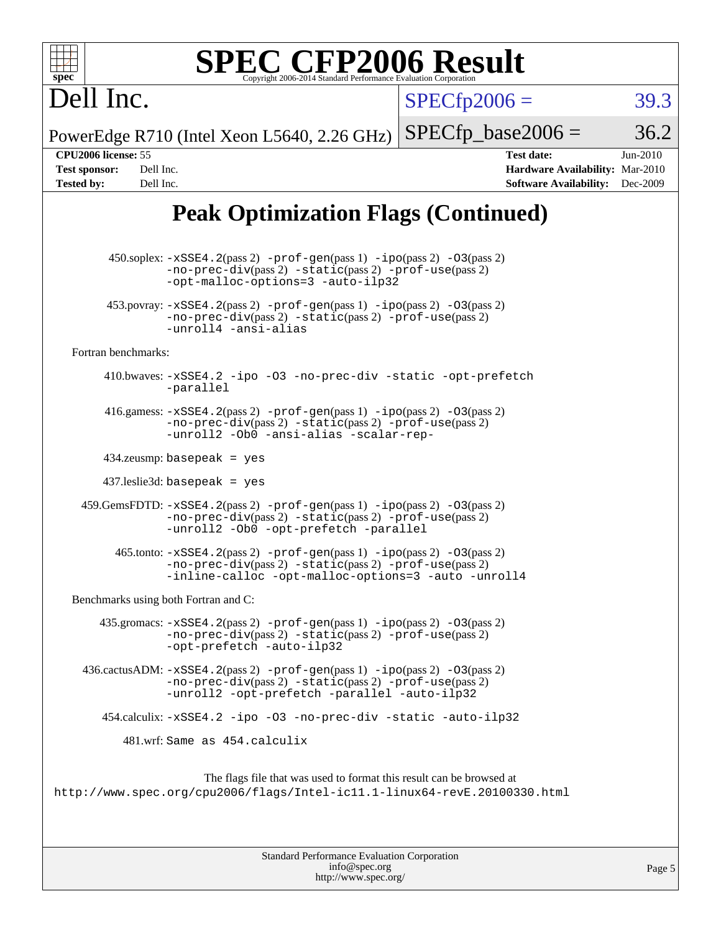| بدو<br>s.<br>11 |  |  |  |  |  |
|-----------------|--|--|--|--|--|

 $SPECTp2006 = 39.3$ 

PowerEdge R710 (Intel Xeon L5640, 2.26 GHz)  $SPECTp\_base2006 = 36.2$ 

Dell Inc.

**[CPU2006 license:](http://www.spec.org/auto/cpu2006/Docs/result-fields.html#CPU2006license)** 55 **[Test date:](http://www.spec.org/auto/cpu2006/Docs/result-fields.html#Testdate)** Jun-2010 **[Test sponsor:](http://www.spec.org/auto/cpu2006/Docs/result-fields.html#Testsponsor)** Dell Inc. **[Hardware Availability:](http://www.spec.org/auto/cpu2006/Docs/result-fields.html#HardwareAvailability)** Mar-2010 **[Tested by:](http://www.spec.org/auto/cpu2006/Docs/result-fields.html#Testedby)** Dell Inc. **[Software Availability:](http://www.spec.org/auto/cpu2006/Docs/result-fields.html#SoftwareAvailability)** Dec-2009

### **[Peak Optimization Flags \(Continued\)](http://www.spec.org/auto/cpu2006/Docs/result-fields.html#PeakOptimizationFlags)**

 450.soplex: [-xSSE4.2](http://www.spec.org/cpu2006/results/res2010q3/cpu2006-20100702-12137.flags.html#user_peakPASS2_CXXFLAGSPASS2_LDFLAGS450_soplex_f-xSSE42_f91528193cf0b216347adb8b939d4107)(pass 2) [-prof-gen](http://www.spec.org/cpu2006/results/res2010q3/cpu2006-20100702-12137.flags.html#user_peakPASS1_CXXFLAGSPASS1_LDFLAGS450_soplex_prof_gen_e43856698f6ca7b7e442dfd80e94a8fc)(pass 1) [-ipo](http://www.spec.org/cpu2006/results/res2010q3/cpu2006-20100702-12137.flags.html#user_peakPASS2_CXXFLAGSPASS2_LDFLAGS450_soplex_f-ipo)(pass 2) [-O3](http://www.spec.org/cpu2006/results/res2010q3/cpu2006-20100702-12137.flags.html#user_peakPASS2_CXXFLAGSPASS2_LDFLAGS450_soplex_f-O3)(pass 2) [-no-prec-div](http://www.spec.org/cpu2006/results/res2010q3/cpu2006-20100702-12137.flags.html#user_peakPASS2_CXXFLAGSPASS2_LDFLAGS450_soplex_f-no-prec-div)(pass 2) [-static](http://www.spec.org/cpu2006/results/res2010q3/cpu2006-20100702-12137.flags.html#user_peakPASS2_CXXFLAGSPASS2_LDFLAGS450_soplex_f-static)(pass 2) [-prof-use](http://www.spec.org/cpu2006/results/res2010q3/cpu2006-20100702-12137.flags.html#user_peakPASS2_CXXFLAGSPASS2_LDFLAGS450_soplex_prof_use_bccf7792157ff70d64e32fe3e1250b55)(pass 2) [-opt-malloc-options=3](http://www.spec.org/cpu2006/results/res2010q3/cpu2006-20100702-12137.flags.html#user_peakOPTIMIZE450_soplex_f-opt-malloc-options_13ab9b803cf986b4ee62f0a5998c2238) [-auto-ilp32](http://www.spec.org/cpu2006/results/res2010q3/cpu2006-20100702-12137.flags.html#user_peakCXXOPTIMIZE450_soplex_f-auto-ilp32) 453.povray:  $-xSSE4$ . 2(pass 2)  $-prof-gen(pass 1) -ipo(pass 2) -O3(pass 2)$  $-prof-gen(pass 1) -ipo(pass 2) -O3(pass 2)$  $-prof-gen(pass 1) -ipo(pass 2) -O3(pass 2)$  $-prof-gen(pass 1) -ipo(pass 2) -O3(pass 2)$  $-prof-gen(pass 1) -ipo(pass 2) -O3(pass 2)$  $-prof-gen(pass 1) -ipo(pass 2) -O3(pass 2)$ [-no-prec-div](http://www.spec.org/cpu2006/results/res2010q3/cpu2006-20100702-12137.flags.html#user_peakPASS2_CXXFLAGSPASS2_LDFLAGS453_povray_f-no-prec-div)(pass 2) [-static](http://www.spec.org/cpu2006/results/res2010q3/cpu2006-20100702-12137.flags.html#user_peakPASS2_CXXFLAGSPASS2_LDFLAGS453_povray_f-static)(pass 2) [-prof-use](http://www.spec.org/cpu2006/results/res2010q3/cpu2006-20100702-12137.flags.html#user_peakPASS2_CXXFLAGSPASS2_LDFLAGS453_povray_prof_use_bccf7792157ff70d64e32fe3e1250b55)(pass 2) [-unroll4](http://www.spec.org/cpu2006/results/res2010q3/cpu2006-20100702-12137.flags.html#user_peakCXXOPTIMIZE453_povray_f-unroll_4e5e4ed65b7fd20bdcd365bec371b81f) [-ansi-alias](http://www.spec.org/cpu2006/results/res2010q3/cpu2006-20100702-12137.flags.html#user_peakCXXOPTIMIZE453_povray_f-ansi-alias) [Fortran benchmarks](http://www.spec.org/auto/cpu2006/Docs/result-fields.html#Fortranbenchmarks): 410.bwaves: [-xSSE4.2](http://www.spec.org/cpu2006/results/res2010q3/cpu2006-20100702-12137.flags.html#user_peakOPTIMIZE410_bwaves_f-xSSE42_f91528193cf0b216347adb8b939d4107) [-ipo](http://www.spec.org/cpu2006/results/res2010q3/cpu2006-20100702-12137.flags.html#user_peakOPTIMIZE410_bwaves_f-ipo) [-O3](http://www.spec.org/cpu2006/results/res2010q3/cpu2006-20100702-12137.flags.html#user_peakOPTIMIZE410_bwaves_f-O3) [-no-prec-div](http://www.spec.org/cpu2006/results/res2010q3/cpu2006-20100702-12137.flags.html#user_peakOPTIMIZE410_bwaves_f-no-prec-div) [-static](http://www.spec.org/cpu2006/results/res2010q3/cpu2006-20100702-12137.flags.html#user_peakOPTIMIZE410_bwaves_f-static) [-opt-prefetch](http://www.spec.org/cpu2006/results/res2010q3/cpu2006-20100702-12137.flags.html#user_peakOPTIMIZE410_bwaves_f-opt-prefetch) [-parallel](http://www.spec.org/cpu2006/results/res2010q3/cpu2006-20100702-12137.flags.html#user_peakOPTIMIZE410_bwaves_f-parallel) 416.gamess:  $-xSSE4$ . 2(pass 2)  $-prof-gen(pass 1) -ipo(pass 2) -O3(pass 2)$  $-prof-gen(pass 1) -ipo(pass 2) -O3(pass 2)$  $-prof-gen(pass 1) -ipo(pass 2) -O3(pass 2)$  $-prof-gen(pass 1) -ipo(pass 2) -O3(pass 2)$  $-prof-gen(pass 1) -ipo(pass 2) -O3(pass 2)$  $-prof-gen(pass 1) -ipo(pass 2) -O3(pass 2)$ [-no-prec-div](http://www.spec.org/cpu2006/results/res2010q3/cpu2006-20100702-12137.flags.html#user_peakPASS2_FFLAGSPASS2_LDFLAGS416_gamess_f-no-prec-div)(pass 2) [-static](http://www.spec.org/cpu2006/results/res2010q3/cpu2006-20100702-12137.flags.html#user_peakPASS2_FFLAGSPASS2_LDFLAGS416_gamess_f-static)(pass 2) [-prof-use](http://www.spec.org/cpu2006/results/res2010q3/cpu2006-20100702-12137.flags.html#user_peakPASS2_FFLAGSPASS2_LDFLAGS416_gamess_prof_use_bccf7792157ff70d64e32fe3e1250b55)(pass 2) [-unroll2](http://www.spec.org/cpu2006/results/res2010q3/cpu2006-20100702-12137.flags.html#user_peakOPTIMIZE416_gamess_f-unroll_784dae83bebfb236979b41d2422d7ec2) [-Ob0](http://www.spec.org/cpu2006/results/res2010q3/cpu2006-20100702-12137.flags.html#user_peakOPTIMIZE416_gamess_f-Ob_n_fbe6f6428adb7d4b74b1e99bb2444c2d) [-ansi-alias](http://www.spec.org/cpu2006/results/res2010q3/cpu2006-20100702-12137.flags.html#user_peakOPTIMIZE416_gamess_f-ansi-alias) [-scalar-rep-](http://www.spec.org/cpu2006/results/res2010q3/cpu2006-20100702-12137.flags.html#user_peakOPTIMIZE416_gamess_f-disablescalarrep_abbcad04450fb118e4809c81d83c8a1d) 434.zeusmp: basepeak = yes 437.leslie3d: basepeak = yes 459.GemsFDTD: [-xSSE4.2](http://www.spec.org/cpu2006/results/res2010q3/cpu2006-20100702-12137.flags.html#user_peakPASS2_FFLAGSPASS2_LDFLAGS459_GemsFDTD_f-xSSE42_f91528193cf0b216347adb8b939d4107)(pass 2) [-prof-gen](http://www.spec.org/cpu2006/results/res2010q3/cpu2006-20100702-12137.flags.html#user_peakPASS1_FFLAGSPASS1_LDFLAGS459_GemsFDTD_prof_gen_e43856698f6ca7b7e442dfd80e94a8fc)(pass 1) [-ipo](http://www.spec.org/cpu2006/results/res2010q3/cpu2006-20100702-12137.flags.html#user_peakPASS2_FFLAGSPASS2_LDFLAGS459_GemsFDTD_f-ipo)(pass 2) [-O3](http://www.spec.org/cpu2006/results/res2010q3/cpu2006-20100702-12137.flags.html#user_peakPASS2_FFLAGSPASS2_LDFLAGS459_GemsFDTD_f-O3)(pass 2) [-no-prec-div](http://www.spec.org/cpu2006/results/res2010q3/cpu2006-20100702-12137.flags.html#user_peakPASS2_FFLAGSPASS2_LDFLAGS459_GemsFDTD_f-no-prec-div)(pass 2) [-static](http://www.spec.org/cpu2006/results/res2010q3/cpu2006-20100702-12137.flags.html#user_peakPASS2_FFLAGSPASS2_LDFLAGS459_GemsFDTD_f-static)(pass 2) [-prof-use](http://www.spec.org/cpu2006/results/res2010q3/cpu2006-20100702-12137.flags.html#user_peakPASS2_FFLAGSPASS2_LDFLAGS459_GemsFDTD_prof_use_bccf7792157ff70d64e32fe3e1250b55)(pass 2) [-unroll2](http://www.spec.org/cpu2006/results/res2010q3/cpu2006-20100702-12137.flags.html#user_peakOPTIMIZE459_GemsFDTD_f-unroll_784dae83bebfb236979b41d2422d7ec2) [-Ob0](http://www.spec.org/cpu2006/results/res2010q3/cpu2006-20100702-12137.flags.html#user_peakOPTIMIZE459_GemsFDTD_f-Ob_n_fbe6f6428adb7d4b74b1e99bb2444c2d) [-opt-prefetch](http://www.spec.org/cpu2006/results/res2010q3/cpu2006-20100702-12137.flags.html#user_peakOPTIMIZE459_GemsFDTD_f-opt-prefetch) [-parallel](http://www.spec.org/cpu2006/results/res2010q3/cpu2006-20100702-12137.flags.html#user_peakOPTIMIZE459_GemsFDTD_f-parallel)  $465$ .tonto:  $-xSSE4$ .  $2(pass 2)$  [-prof-gen](http://www.spec.org/cpu2006/results/res2010q3/cpu2006-20100702-12137.flags.html#user_peakPASS1_FFLAGSPASS1_LDFLAGS465_tonto_prof_gen_e43856698f6ca7b7e442dfd80e94a8fc)(pass 1) [-ipo](http://www.spec.org/cpu2006/results/res2010q3/cpu2006-20100702-12137.flags.html#user_peakPASS2_FFLAGSPASS2_LDFLAGS465_tonto_f-ipo)(pass 2) -03(pass 2) [-no-prec-div](http://www.spec.org/cpu2006/results/res2010q3/cpu2006-20100702-12137.flags.html#user_peakPASS2_FFLAGSPASS2_LDFLAGS465_tonto_f-no-prec-div)(pass 2) [-static](http://www.spec.org/cpu2006/results/res2010q3/cpu2006-20100702-12137.flags.html#user_peakPASS2_FFLAGSPASS2_LDFLAGS465_tonto_f-static)(pass 2) [-prof-use](http://www.spec.org/cpu2006/results/res2010q3/cpu2006-20100702-12137.flags.html#user_peakPASS2_FFLAGSPASS2_LDFLAGS465_tonto_prof_use_bccf7792157ff70d64e32fe3e1250b55)(pass 2) [-inline-calloc](http://www.spec.org/cpu2006/results/res2010q3/cpu2006-20100702-12137.flags.html#user_peakOPTIMIZE465_tonto_f-inline-calloc) [-opt-malloc-options=3](http://www.spec.org/cpu2006/results/res2010q3/cpu2006-20100702-12137.flags.html#user_peakOPTIMIZE465_tonto_f-opt-malloc-options_13ab9b803cf986b4ee62f0a5998c2238) [-auto](http://www.spec.org/cpu2006/results/res2010q3/cpu2006-20100702-12137.flags.html#user_peakOPTIMIZE465_tonto_f-auto) [-unroll4](http://www.spec.org/cpu2006/results/res2010q3/cpu2006-20100702-12137.flags.html#user_peakOPTIMIZE465_tonto_f-unroll_4e5e4ed65b7fd20bdcd365bec371b81f) [Benchmarks using both Fortran and C](http://www.spec.org/auto/cpu2006/Docs/result-fields.html#BenchmarksusingbothFortranandC): 435.gromacs:  $-xSSE4$ . 2(pass 2)  $-prof-gen(pass 1) -ipo(pass 2) -O3(pass 2)$  $-prof-gen(pass 1) -ipo(pass 2) -O3(pass 2)$  $-prof-gen(pass 1) -ipo(pass 2) -O3(pass 2)$  $-prof-gen(pass 1) -ipo(pass 2) -O3(pass 2)$  $-prof-gen(pass 1) -ipo(pass 2) -O3(pass 2)$  $-prof-gen(pass 1) -ipo(pass 2) -O3(pass 2)$ [-no-prec-div](http://www.spec.org/cpu2006/results/res2010q3/cpu2006-20100702-12137.flags.html#user_peakPASS2_CFLAGSPASS2_FFLAGSPASS2_LDFLAGS435_gromacs_f-no-prec-div)(pass 2) [-static](http://www.spec.org/cpu2006/results/res2010q3/cpu2006-20100702-12137.flags.html#user_peakPASS2_CFLAGSPASS2_FFLAGSPASS2_LDFLAGS435_gromacs_f-static)(pass 2) [-prof-use](http://www.spec.org/cpu2006/results/res2010q3/cpu2006-20100702-12137.flags.html#user_peakPASS2_CFLAGSPASS2_FFLAGSPASS2_LDFLAGS435_gromacs_prof_use_bccf7792157ff70d64e32fe3e1250b55)(pass 2) [-opt-prefetch](http://www.spec.org/cpu2006/results/res2010q3/cpu2006-20100702-12137.flags.html#user_peakOPTIMIZE435_gromacs_f-opt-prefetch) [-auto-ilp32](http://www.spec.org/cpu2006/results/res2010q3/cpu2006-20100702-12137.flags.html#user_peakCOPTIMIZE435_gromacs_f-auto-ilp32) 436.cactusADM: [-xSSE4.2](http://www.spec.org/cpu2006/results/res2010q3/cpu2006-20100702-12137.flags.html#user_peakPASS2_CFLAGSPASS2_FFLAGSPASS2_LDFLAGS436_cactusADM_f-xSSE42_f91528193cf0b216347adb8b939d4107)(pass 2) [-prof-gen](http://www.spec.org/cpu2006/results/res2010q3/cpu2006-20100702-12137.flags.html#user_peakPASS1_CFLAGSPASS1_FFLAGSPASS1_LDFLAGS436_cactusADM_prof_gen_e43856698f6ca7b7e442dfd80e94a8fc)(pass 1) [-ipo](http://www.spec.org/cpu2006/results/res2010q3/cpu2006-20100702-12137.flags.html#user_peakPASS2_CFLAGSPASS2_FFLAGSPASS2_LDFLAGS436_cactusADM_f-ipo)(pass 2) [-O3](http://www.spec.org/cpu2006/results/res2010q3/cpu2006-20100702-12137.flags.html#user_peakPASS2_CFLAGSPASS2_FFLAGSPASS2_LDFLAGS436_cactusADM_f-O3)(pass 2) [-no-prec-div](http://www.spec.org/cpu2006/results/res2010q3/cpu2006-20100702-12137.flags.html#user_peakPASS2_CFLAGSPASS2_FFLAGSPASS2_LDFLAGS436_cactusADM_f-no-prec-div)(pass 2) [-static](http://www.spec.org/cpu2006/results/res2010q3/cpu2006-20100702-12137.flags.html#user_peakPASS2_CFLAGSPASS2_FFLAGSPASS2_LDFLAGS436_cactusADM_f-static)(pass 2) [-prof-use](http://www.spec.org/cpu2006/results/res2010q3/cpu2006-20100702-12137.flags.html#user_peakPASS2_CFLAGSPASS2_FFLAGSPASS2_LDFLAGS436_cactusADM_prof_use_bccf7792157ff70d64e32fe3e1250b55)(pass 2) [-unroll2](http://www.spec.org/cpu2006/results/res2010q3/cpu2006-20100702-12137.flags.html#user_peakOPTIMIZE436_cactusADM_f-unroll_784dae83bebfb236979b41d2422d7ec2) [-opt-prefetch](http://www.spec.org/cpu2006/results/res2010q3/cpu2006-20100702-12137.flags.html#user_peakOPTIMIZE436_cactusADM_f-opt-prefetch) [-parallel](http://www.spec.org/cpu2006/results/res2010q3/cpu2006-20100702-12137.flags.html#user_peakOPTIMIZE436_cactusADM_f-parallel) [-auto-ilp32](http://www.spec.org/cpu2006/results/res2010q3/cpu2006-20100702-12137.flags.html#user_peakCOPTIMIZE436_cactusADM_f-auto-ilp32) 454.calculix: [-xSSE4.2](http://www.spec.org/cpu2006/results/res2010q3/cpu2006-20100702-12137.flags.html#user_peakOPTIMIZE454_calculix_f-xSSE42_f91528193cf0b216347adb8b939d4107) [-ipo](http://www.spec.org/cpu2006/results/res2010q3/cpu2006-20100702-12137.flags.html#user_peakOPTIMIZE454_calculix_f-ipo) [-O3](http://www.spec.org/cpu2006/results/res2010q3/cpu2006-20100702-12137.flags.html#user_peakOPTIMIZE454_calculix_f-O3) [-no-prec-div](http://www.spec.org/cpu2006/results/res2010q3/cpu2006-20100702-12137.flags.html#user_peakOPTIMIZE454_calculix_f-no-prec-div) [-static](http://www.spec.org/cpu2006/results/res2010q3/cpu2006-20100702-12137.flags.html#user_peakOPTIMIZE454_calculix_f-static) [-auto-ilp32](http://www.spec.org/cpu2006/results/res2010q3/cpu2006-20100702-12137.flags.html#user_peakCOPTIMIZE454_calculix_f-auto-ilp32) 481.wrf: Same as 454.calculix The flags file that was used to format this result can be browsed at <http://www.spec.org/cpu2006/flags/Intel-ic11.1-linux64-revE.20100330.html>